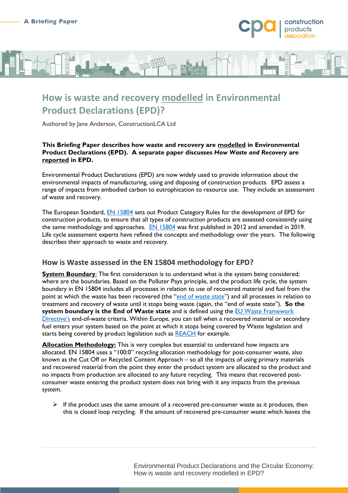

## **How is waste and recovery modelled in Environmental Product Declarations (EPD)?**

Authored by Jane Anderson, ConstructionLCA Ltd

#### **This Briefing Paper describes how waste and recovery are modelled in Environmental Product Declarations (EPD). A separate paper discusses** *How Waste and Recovery* **are reported in EPD.**

Environmental Product Declarations (EPD) are now widely used to provide information about the environmental impacts of manufacturing, using and disposing of construction products. EPD assess a range of impacts from embodied carbon to eutrophication to resource use. They include an assessment of waste and recovery.

The European Standard, **EN 15804** sets out Product Category Rules for the development of EPD for construction products, to ensure that all types of construction products are assessed consistently using the same methodology and approaches. [EN 15804](https://shop.bsigroup.com/products/sustainability-of-construction-works-environmental-product-declarations-core-rules-for-the-product-category-of-construction-products-2/standard) was first published in 2012 and amended in 2019. Life cycle assessment experts have refined the concepts and methodology over the years. The following describes their approach to waste and recovery.

## **How is Waste assessed in the EN 15804 methodology for EPD?**

**System Boundary:** The first consideration is to understand what is the system being considered; where are the boundaries. Based on the Polluter Pays principle, and the product life cycle, the system boundary in EN 15804 includes all processes in relation to use of recovered material and fuel from the point at which the waste has been recovered (the "[end of waste state](https://ec.europa.eu/environment/topics/waste-and-recycling/waste-framework-directive_en#ecl-inpage-632)") and all processes in relation to treatment and recovery of waste until it stops being waste (again, the "end of waste state"). **So the system boundary is the End of Waste state** and is defined using the **EU Waste Framework** [Directive](https://ec.europa.eu/environment/topics/waste-and-recycling/waste-framework-directive_en)'s end-of-waste criteria. Within Europe, you can tell when a recovered material or secondary fuel enters your system based on the point at which it stops being covered by Waste legislation and starts being covered by product legislation such as [REACH](https://ec.europa.eu/environment/chemicals/reach/reach_en.htm) for example.

**Allocation Methodology:** This is very complex but essential to understand how impacts are allocated. EN 15804 uses a "100:0" recycling allocation methodology for post-consumer waste, also known as the Cut Off or Recycled Content Approach – so all the impacts of using primary materials and recovered material from the point they enter the product system are allocated to the product and no impacts from production are allocated to any future recycling. This means that recovered postconsumer waste entering the product system does not bring with it any impacts from the previous system.

 $\triangleright$  If the product uses the same amount of a recovered pre-consumer waste as it produces, then this is closed loop recycling. If the amount of recovered pre-consumer waste which leaves the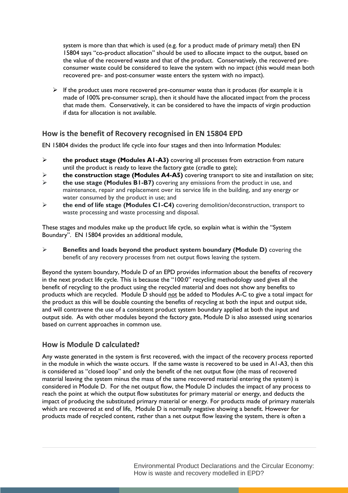system is more than that which is used (e.g. for a product made of primary metal) then EN 15804 says "co-product allocation" should be used to allocate impact to the output, based on the value of the recovered waste and that of the product. Conservatively, the recovered preconsumer waste could be considered to leave the system with no impact (this would mean both recovered pre- and post-consumer waste enters the system with no impact).

 $\triangleright$  If the product uses more recovered pre-consumer waste than it produces (for example it is made of 100% pre-consumer scrap), then it should have the allocated impact from the process that made them. Conservatively, it can be considered to have the impacts of virgin production if data for allocation is not available.

### **How is the benefit of Recovery recognised in EN 15804 EPD**

EN 15804 divides the product life cycle into four stages and then into Information Modules:

- **the product stage (Modules A1-A3)** covering all processes from extraction from nature until the product is ready to leave the factory gate (cradle to gate);
- **the construction stage (Modules A4-A5)** covering transport to site and installation on site;
- **the use stage (Modules B1-B7)** covering any emissions from the product in use, and maintenance, repair and replacement over its service life in the building, and any energy or water consumed by the product in use; and
- **the end of life stage (Modules C1-C4)** covering demolition/deconstruction, transport to waste processing and waste processing and disposal.

These stages and modules make up the product life cycle, so explain what is within the "System Boundary". EN 15804 provides an additional module,

 **Benefits and loads beyond the product system boundary (Module D)** covering the benefit of any recovery processes from net output flows leaving the system.

Beyond the system boundary, Module D of an EPD provides information about the benefits of recovery in the next product life cycle. This is because the "100:0" recycling methodology used gives all the benefit of recycling to the product using the recycled material and does not show any benefits to products which are recycled. Module D should not be added to Modules A-C to give a total impact for the product as this will be double counting the benefits of recycling at both the input and output side, and will contravene the use of a consistent product system boundary applied at both the input and output side. As with other modules beyond the factory gate, Module D is also assessed using scenarios based on current approaches in common use.

### **How is Module D calculated?**

Any waste generated in the system is first recovered, with the impact of the recovery process reported in the module in which the waste occurs. If the same waste is recovered to be used in A1-A3, then this is considered as "closed loop" and only the benefit of the net output flow (the mass of recovered material leaving the system minus the mass of the same recovered material entering the system) is considered in Module D. For the net output flow, the Module D includes the impact of any process to reach the point at which the output flow substitutes for primary material or energy, and deducts the impact of producing the substituted primary material or energy. For products made of primary materials which are recovered at end of life, Module D is normally negative showing a benefit. However for products made of recycled content, rather than a net output flow leaving the system, there is often a